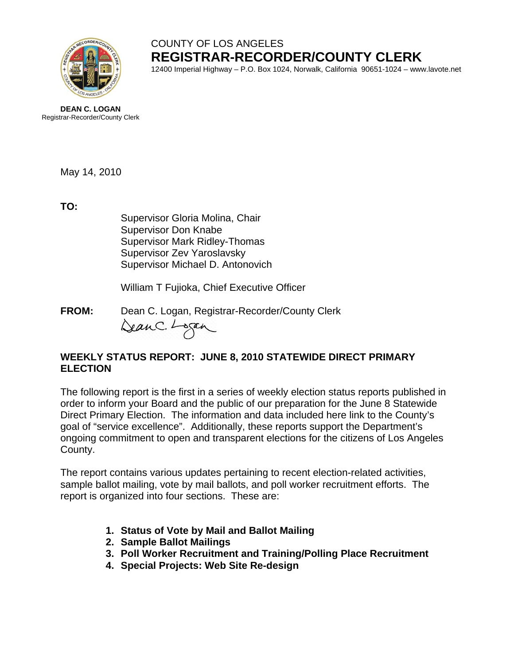

## COUNTY OF LOS ANGELES **REGISTRAR-RECORDER/COUNTY CLERK**

12400 Imperial Highway – P.O. Box 1024, Norwalk, California 90651-1024 – www.lavote.net

**DEAN C. LOGAN** Registrar-Recorder/County Clerk

May 14, 2010

**TO:**

Supervisor Gloria Molina, Chair Supervisor Don Knabe Supervisor Mark Ridley-Thomas Supervisor Zev Yaroslavsky Supervisor Michael D. Antonovich

William T Fujioka, Chief Executive Officer

**FROM:** Dean C. Logan, Registrar-Recorder/County Clerk<br>Can C. Lagan

#### **WEEKLY STATUS REPORT: JUNE 8, 2010 STATEWIDE DIRECT PRIMARY ELECTION**

The following report is the first in a series of weekly election status reports published in order to inform your Board and the public of our preparation for the June 8 Statewide Direct Primary Election. The information and data included here link to the County's goal of "service excellence". Additionally, these reports support the Department's ongoing commitment to open and transparent elections for the citizens of Los Angeles County.

The report contains various updates pertaining to recent election-related activities, sample ballot mailing, vote by mail ballots, and poll worker recruitment efforts. The report is organized into four sections. These are:

- **1. Status of Vote by Mail and Ballot Mailing**
- **2. Sample Ballot Mailings**
- **3. Poll Worker Recruitment and Training/Polling Place Recruitment**
- **4. Special Projects: Web Site Re-design**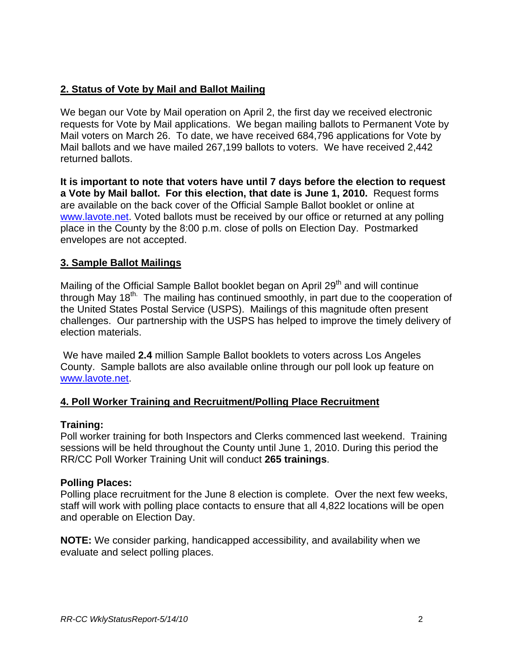## **2. Status of Vote by Mail and Ballot Mailing**

We began our Vote by Mail operation on April 2, the first day we received electronic requests for Vote by Mail applications. We began mailing ballots to Permanent Vote by Mail voters on March 26. To date, we have received 684,796 applications for Vote by Mail ballots and we have mailed 267,199 ballots to voters. We have received 2,442 returned ballots.

**It is important to note that voters have until 7 days before the election to request a Vote by Mail ballot. For this election, that date is June 1, 2010.** Request forms are available on the back cover of the Official Sample Ballot booklet or online at [www.lavote.net](http://www.lavote.net/). Voted ballots must be received by our office or returned at any polling place in the County by the 8:00 p.m. close of polls on Election Day. Postmarked envelopes are not accepted.

#### **3. Sample Ballot Mailings**

Mailing of the Official Sample Ballot booklet began on April 29<sup>th</sup> and will continue through May 18<sup>th.</sup> The mailing has continued smoothly, in part due to the cooperation of the United States Postal Service (USPS). Mailings of this magnitude often present challenges. Our partnership with the USPS has helped to improve the timely delivery of election materials.

 We have mailed **2.4** million Sample Ballot booklets to voters across Los Angeles County. Sample ballots are also available online through our poll look up feature on [www.lavote.net](http://www.lavote.net/).

## **4. Poll Worker Training and Recruitment/Polling Place Recruitment**

#### **Training:**

Poll worker training for both Inspectors and Clerks commenced last weekend. Training sessions will be held throughout the County until June 1, 2010. During this period the RR/CC Poll Worker Training Unit will conduct **265 trainings**.

#### **Polling Places:**

Polling place recruitment for the June 8 election is complete. Over the next few weeks, staff will work with polling place contacts to ensure that all 4,822 locations will be open and operable on Election Day.

**NOTE:** We consider parking, handicapped accessibility, and availability when we evaluate and select polling places.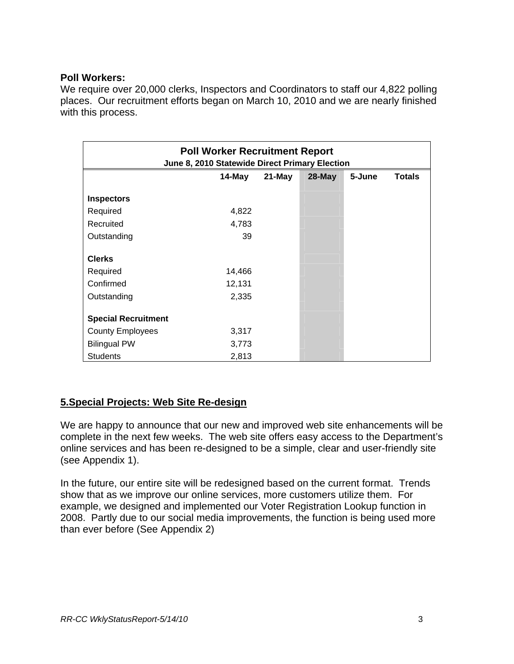#### **Poll Workers:**

We require over 20,000 clerks, Inspectors and Coordinators to staff our 4,822 polling places. Our recruitment efforts began on March 10, 2010 and we are nearly finished with this process.

| <b>Poll Worker Recruitment Report</b><br>June 8, 2010 Statewide Direct Primary Election |        |        |           |        |               |
|-----------------------------------------------------------------------------------------|--------|--------|-----------|--------|---------------|
|                                                                                         | 14-May | 21-May | $28$ -May | 5-June | <b>Totals</b> |
| <b>Inspectors</b>                                                                       |        |        |           |        |               |
| Required                                                                                | 4,822  |        |           |        |               |
| Recruited                                                                               | 4,783  |        |           |        |               |
| Outstanding                                                                             | 39     |        |           |        |               |
| <b>Clerks</b>                                                                           |        |        |           |        |               |
| Required                                                                                | 14,466 |        |           |        |               |
| Confirmed                                                                               | 12,131 |        |           |        |               |
| Outstanding                                                                             | 2,335  |        |           |        |               |
| <b>Special Recruitment</b>                                                              |        |        |           |        |               |
| <b>County Employees</b>                                                                 | 3,317  |        |           |        |               |
| <b>Bilingual PW</b>                                                                     | 3,773  |        |           |        |               |
| <b>Students</b>                                                                         | 2,813  |        |           |        |               |

## **5.Special Projects: Web Site Re-design**

We are happy to announce that our new and improved web site enhancements will be complete in the next few weeks. The web site offers easy access to the Department's online services and has been re-designed to be a simple, clear and user-friendly site (see Appendix 1).

In the future, our entire site will be redesigned based on the current format. Trends show that as we improve our online services, more customers utilize them. For example, we designed and implemented our Voter Registration Lookup function in 2008. Partly due to our social media improvements, the function is being used more than ever before (See Appendix 2)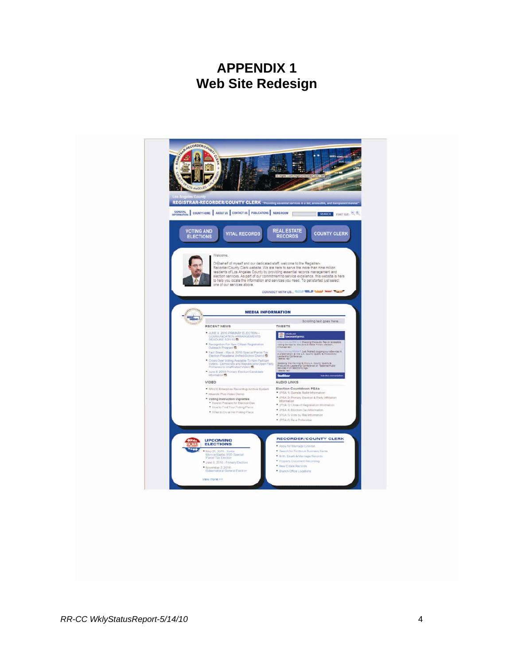## **APPENDIX 1 Web Site Redesign**

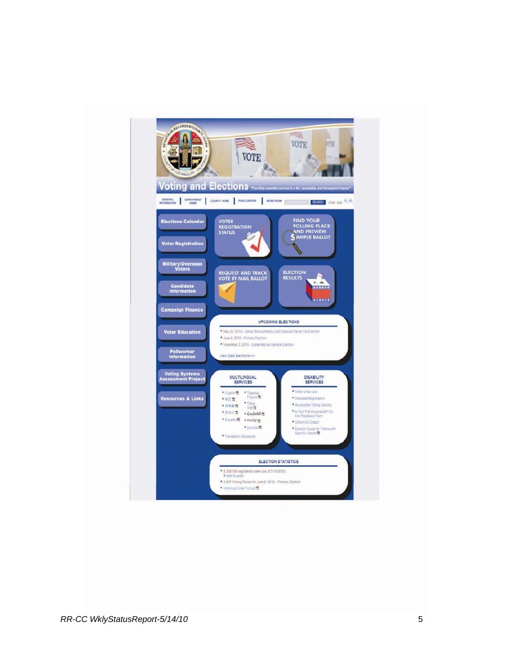